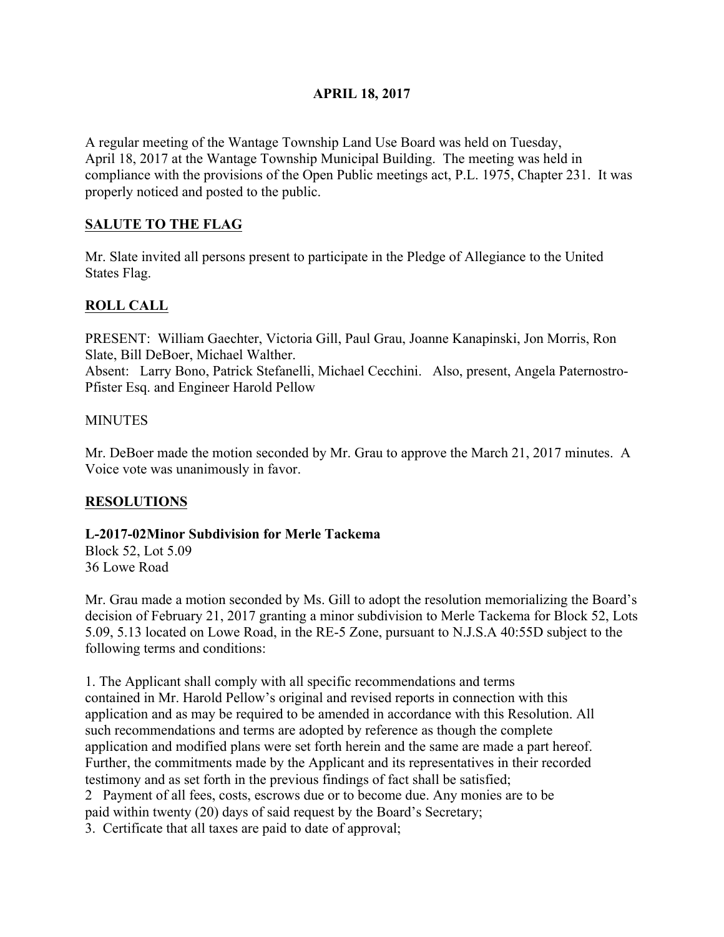## **APRIL 18, 2017**

A regular meeting of the Wantage Township Land Use Board was held on Tuesday, April 18, 2017 at the Wantage Township Municipal Building. The meeting was held in compliance with the provisions of the Open Public meetings act, P.L. 1975, Chapter 231. It was properly noticed and posted to the public.

## **SALUTE TO THE FLAG**

Mr. Slate invited all persons present to participate in the Pledge of Allegiance to the United States Flag.

# **ROLL CALL**

PRESENT: William Gaechter, Victoria Gill, Paul Grau, Joanne Kanapinski, Jon Morris, Ron Slate, Bill DeBoer, Michael Walther.

Absent: Larry Bono, Patrick Stefanelli, Michael Cecchini. Also, present, Angela Paternostro-Pfister Esq. and Engineer Harold Pellow

#### **MINUTES**

Mr. DeBoer made the motion seconded by Mr. Grau to approve the March 21, 2017 minutes. A Voice vote was unanimously in favor.

## **RESOLUTIONS**

#### **L-2017-02Minor Subdivision for Merle Tackema**

Block 52, Lot 5.09 36 Lowe Road

Mr. Grau made a motion seconded by Ms. Gill to adopt the resolution memorializing the Board's decision of February 21, 2017 granting a minor subdivision to Merle Tackema for Block 52, Lots 5.09, 5.13 located on Lowe Road, in the RE-5 Zone, pursuant to N.J.S.A 40:55D subject to the following terms and conditions:

1. The Applicant shall comply with all specific recommendations and terms contained in Mr. Harold Pellow's original and revised reports in connection with this application and as may be required to be amended in accordance with this Resolution. All such recommendations and terms are adopted by reference as though the complete application and modified plans were set forth herein and the same are made a part hereof. Further, the commitments made by the Applicant and its representatives in their recorded testimony and as set forth in the previous findings of fact shall be satisfied; 2 Payment of all fees, costs, escrows due or to become due. Any monies are to be paid within twenty (20) days of said request by the Board's Secretary;

3. Certificate that all taxes are paid to date of approval;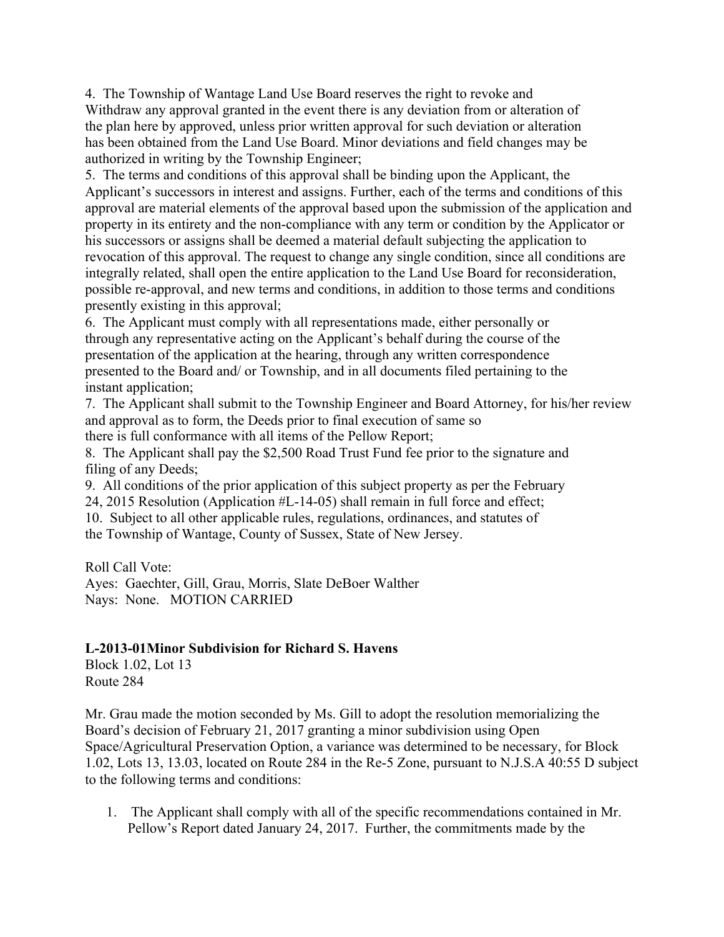4. The Township of Wantage Land Use Board reserves the right to revoke and Withdraw any approval granted in the event there is any deviation from or alteration of the plan here by approved, unless prior written approval for such deviation or alteration has been obtained from the Land Use Board. Minor deviations and field changes may be authorized in writing by the Township Engineer;

5. The terms and conditions of this approval shall be binding upon the Applicant, the Applicant's successors in interest and assigns. Further, each of the terms and conditions of this approval are material elements of the approval based upon the submission of the application and property in its entirety and the non-compliance with any term or condition by the Applicator or his successors or assigns shall be deemed a material default subjecting the application to revocation of this approval. The request to change any single condition, since all conditions are integrally related, shall open the entire application to the Land Use Board for reconsideration, possible re-approval, and new terms and conditions, in addition to those terms and conditions presently existing in this approval;

6. The Applicant must comply with all representations made, either personally or through any representative acting on the Applicant's behalf during the course of the presentation of the application at the hearing, through any written correspondence presented to the Board and/ or Township, and in all documents filed pertaining to the instant application;

7. The Applicant shall submit to the Township Engineer and Board Attorney, for his/her review and approval as to form, the Deeds prior to final execution of same so there is full conformance with all items of the Pellow Report;

8. The Applicant shall pay the \$2,500 Road Trust Fund fee prior to the signature and filing of any Deeds;

9. All conditions of the prior application of this subject property as per the February

24, 2015 Resolution (Application #L-14-05) shall remain in full force and effect;

10. Subject to all other applicable rules, regulations, ordinances, and statutes of the Township of Wantage, County of Sussex, State of New Jersey.

Roll Call Vote:

Ayes: Gaechter, Gill, Grau, Morris, Slate DeBoer Walther Nays: None. MOTION CARRIED

## **L-2013-01Minor Subdivision for Richard S. Havens**

Block 1.02, Lot 13 Route 284

Mr. Grau made the motion seconded by Ms. Gill to adopt the resolution memorializing the Board's decision of February 21, 2017 granting a minor subdivision using Open Space/Agricultural Preservation Option, a variance was determined to be necessary, for Block 1.02, Lots 13, 13.03, located on Route 284 in the Re-5 Zone, pursuant to N.J.S.A 40:55 D subject to the following terms and conditions:

1. The Applicant shall comply with all of the specific recommendations contained in Mr. Pellow's Report dated January 24, 2017. Further, the commitments made by the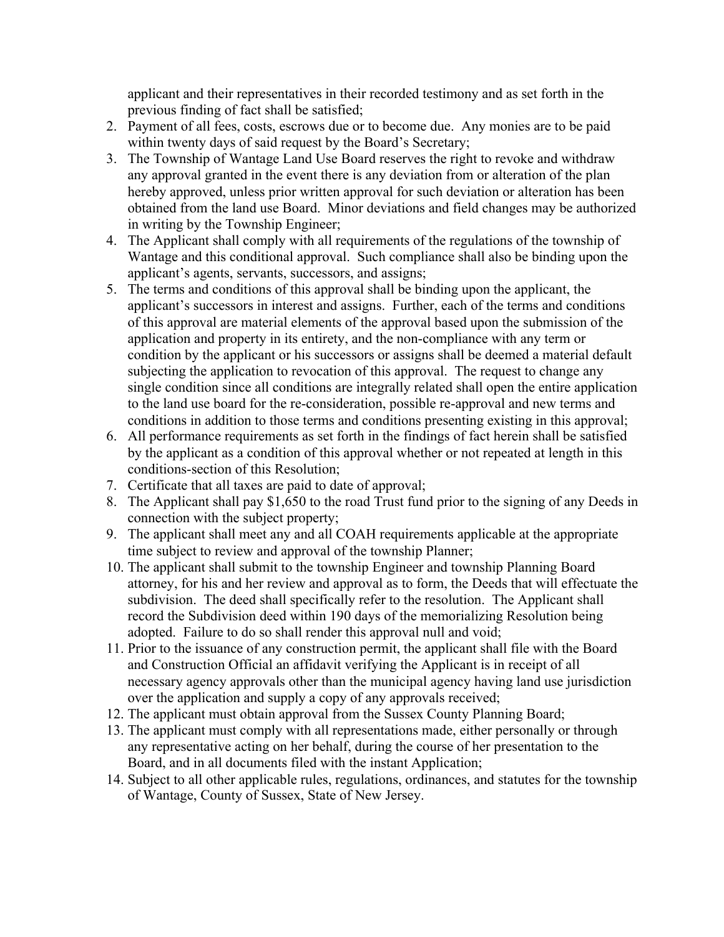applicant and their representatives in their recorded testimony and as set forth in the previous finding of fact shall be satisfied;

- 2. Payment of all fees, costs, escrows due or to become due. Any monies are to be paid within twenty days of said request by the Board's Secretary;
- 3. The Township of Wantage Land Use Board reserves the right to revoke and withdraw any approval granted in the event there is any deviation from or alteration of the plan hereby approved, unless prior written approval for such deviation or alteration has been obtained from the land use Board. Minor deviations and field changes may be authorized in writing by the Township Engineer;
- 4. The Applicant shall comply with all requirements of the regulations of the township of Wantage and this conditional approval. Such compliance shall also be binding upon the applicant's agents, servants, successors, and assigns;
- 5. The terms and conditions of this approval shall be binding upon the applicant, the applicant's successors in interest and assigns. Further, each of the terms and conditions of this approval are material elements of the approval based upon the submission of the application and property in its entirety, and the non-compliance with any term or condition by the applicant or his successors or assigns shall be deemed a material default subjecting the application to revocation of this approval. The request to change any single condition since all conditions are integrally related shall open the entire application to the land use board for the re-consideration, possible re-approval and new terms and conditions in addition to those terms and conditions presenting existing in this approval;
- 6. All performance requirements as set forth in the findings of fact herein shall be satisfied by the applicant as a condition of this approval whether or not repeated at length in this conditions-section of this Resolution;
- 7. Certificate that all taxes are paid to date of approval;
- 8. The Applicant shall pay \$1,650 to the road Trust fund prior to the signing of any Deeds in connection with the subject property;
- 9. The applicant shall meet any and all COAH requirements applicable at the appropriate time subject to review and approval of the township Planner;
- 10. The applicant shall submit to the township Engineer and township Planning Board attorney, for his and her review and approval as to form, the Deeds that will effectuate the subdivision. The deed shall specifically refer to the resolution. The Applicant shall record the Subdivision deed within 190 days of the memorializing Resolution being adopted. Failure to do so shall render this approval null and void;
- 11. Prior to the issuance of any construction permit, the applicant shall file with the Board and Construction Official an affidavit verifying the Applicant is in receipt of all necessary agency approvals other than the municipal agency having land use jurisdiction over the application and supply a copy of any approvals received;
- 12. The applicant must obtain approval from the Sussex County Planning Board;
- 13. The applicant must comply with all representations made, either personally or through any representative acting on her behalf, during the course of her presentation to the Board, and in all documents filed with the instant Application;
- 14. Subject to all other applicable rules, regulations, ordinances, and statutes for the township of Wantage, County of Sussex, State of New Jersey.